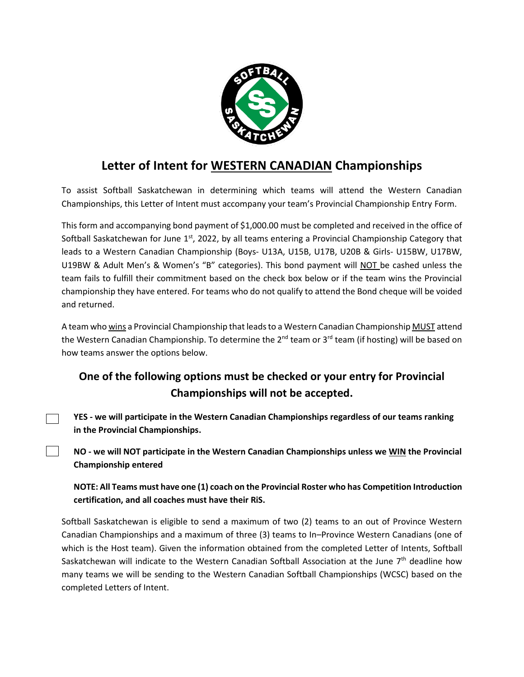

# **Letter of Intent for WESTERN CANADIAN Championships**

To assist Softball Saskatchewan in determining which teams will attend the Western Canadian Championships, this Letter of Intent must accompany your team's Provincial Championship Entry Form.

This form and accompanying bond payment of \$1,000.00 must be completed and received in the office of Softball Saskatchewan for June  $1<sup>st</sup>$ , 2022, by all teams entering a Provincial Championship Category that leads to a Western Canadian Championship (Boys- U13A, U15B, U17B, U20B & Girls- U15BW, U17BW, U19BW & Adult Men's & Women's "B" categories). This bond payment will NOT be cashed unless the team fails to fulfill their commitment based on the check box below or if the team wins the Provincial championship they have entered. For teams who do not qualify to attend the Bond cheque will be voided and returned.

A team who wins a Provincial Championship that leads to a Western Canadian Championship MUST attend the Western Canadian Championship. To determine the 2<sup>nd</sup> team or 3<sup>rd</sup> team (if hosting) will be based on how teams answer the options below.

## **One of the following options must be checked or your entry for Provincial Championships will not be accepted.**

**YES - we will participate in the Western Canadian Championships regardless of our teams ranking in the Provincial Championships.**

 $\sim 10$ 

**NO - we will NOT participate in the Western Canadian Championships unless we WIN the Provincial Championship entered**

**NOTE: All Teams must have one (1) coach on the Provincial Roster who has Competition Introduction certification, and all coaches must have their RiS.** 

Softball Saskatchewan is eligible to send a maximum of two (2) teams to an out of Province Western Canadian Championships and a maximum of three (3) teams to In–Province Western Canadians (one of which is the Host team). Given the information obtained from the completed Letter of Intents, Softball Saskatchewan will indicate to the Western Canadian Softball Association at the June 7<sup>th</sup> deadline how many teams we will be sending to the Western Canadian Softball Championships (WCSC) based on the completed Letters of Intent.